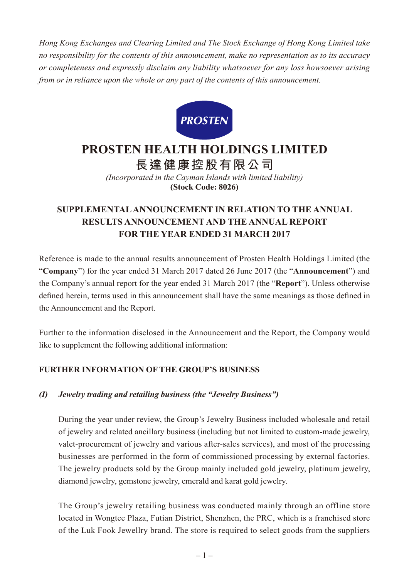*Hong Kong Exchanges and Clearing Limited and The Stock Exchange of Hong Kong Limited take no responsibility for the contents of this announcement, make no representation as to its accuracy or completeness and expressly disclaim any liability whatsoever for any loss howsoever arising from or in reliance upon the whole or any part of the contents of this announcement.*



# **PROSTEN HEALTH HOLDINGS LIMITED**

**長達健康控股有限公司**

*(Incorporated in the Cayman Islands with limited liability)* **(Stock Code: 8026)**

# **SUPPLEMENTAL ANNOUNCEMENT IN RELATION TO THE ANNUAL RESULTS ANNOUNCEMENT AND THE ANNUAL REPORT FOR THE YEAR ENDED 31 MARCH 2017**

Reference is made to the annual results announcement of Prosten Health Holdings Limited (the "**Company**") for the year ended 31 March 2017 dated 26 June 2017 (the "**Announcement**") and the Company's annual report for the year ended 31 March 2017 (the "**Report**"). Unless otherwise defined herein, terms used in this announcement shall have the same meanings as those defined in the Announcement and the Report.

Further to the information disclosed in the Announcement and the Report, the Company would like to supplement the following additional information:

## **FURTHER INFORMATION OF THE GROUP'S BUSINESS**

#### *(I) Jewelry trading and retailing business (the "Jewelry Business")*

During the year under review, the Group's Jewelry Business included wholesale and retail of jewelry and related ancillary business (including but not limited to custom-made jewelry, valet-procurement of jewelry and various after-sales services), and most of the processing businesses are performed in the form of commissioned processing by external factories. The jewelry products sold by the Group mainly included gold jewelry, platinum jewelry, diamond jewelry, gemstone jewelry, emerald and karat gold jewelry.

The Group's jewelry retailing business was conducted mainly through an offline store located in Wongtee Plaza, Futian District, Shenzhen, the PRC, which is a franchised store of the Luk Fook Jewellry brand. The store is required to select goods from the suppliers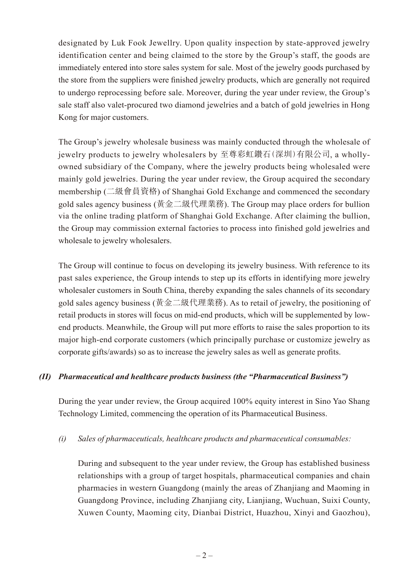designated by Luk Fook Jewellry. Upon quality inspection by state-approved jewelry identification center and being claimed to the store by the Group's staff, the goods are immediately entered into store sales system for sale. Most of the jewelry goods purchased by the store from the suppliers were finished jewelry products, which are generally not required to undergo reprocessing before sale. Moreover, during the year under review, the Group's sale staff also valet-procured two diamond jewelries and a batch of gold jewelries in Hong Kong for major customers.

The Group's jewelry wholesale business was mainly conducted through the wholesale of jewelry products to jewelry wholesalers by 至尊彩虹鑽石(深圳)有限公司, a whollyowned subsidiary of the Company, where the jewelry products being wholesaled were mainly gold jewelries. During the year under review, the Group acquired the secondary membership (二級會員資格) of Shanghai Gold Exchange and commenced the secondary gold sales agency business (黃金二級代理業務). The Group may place orders for bullion via the online trading platform of Shanghai Gold Exchange. After claiming the bullion, the Group may commission external factories to process into finished gold jewelries and wholesale to jewelry wholesalers.

The Group will continue to focus on developing its jewelry business. With reference to its past sales experience, the Group intends to step up its efforts in identifying more jewelry wholesaler customers in South China, thereby expanding the sales channels of its secondary gold sales agency business (黃金二級代理業務). As to retail of jewelry, the positioning of retail products in stores will focus on mid-end products, which will be supplemented by lowend products. Meanwhile, the Group will put more efforts to raise the sales proportion to its major high-end corporate customers (which principally purchase or customize jewelry as corporate gifts/awards) so as to increase the jewelry sales as well as generate profits.

#### *(II) Pharmaceutical and healthcare products business (the "Pharmaceutical Business")*

During the year under review, the Group acquired 100% equity interest in Sino Yao Shang Technology Limited, commencing the operation of its Pharmaceutical Business.

#### *(i) Sales of pharmaceuticals, healthcare products and pharmaceutical consumables:*

During and subsequent to the year under review, the Group has established business relationships with a group of target hospitals, pharmaceutical companies and chain pharmacies in western Guangdong (mainly the areas of Zhanjiang and Maoming in Guangdong Province, including Zhanjiang city, Lianjiang, Wuchuan, Suixi County, Xuwen County, Maoming city, Dianbai District, Huazhou, Xinyi and Gaozhou),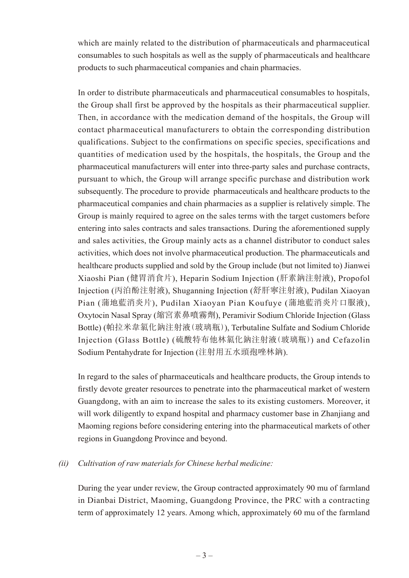which are mainly related to the distribution of pharmaceuticals and pharmaceutical consumables to such hospitals as well as the supply of pharmaceuticals and healthcare products to such pharmaceutical companies and chain pharmacies.

In order to distribute pharmaceuticals and pharmaceutical consumables to hospitals, the Group shall first be approved by the hospitals as their pharmaceutical supplier. Then, in accordance with the medication demand of the hospitals, the Group will contact pharmaceutical manufacturers to obtain the corresponding distribution qualifications. Subject to the confirmations on specific species, specifications and quantities of medication used by the hospitals, the hospitals, the Group and the pharmaceutical manufacturers will enter into three-party sales and purchase contracts, pursuant to which, the Group will arrange specific purchase and distribution work subsequently. The procedure to provide pharmaceuticals and healthcare products to the pharmaceutical companies and chain pharmacies as a supplier is relatively simple. The Group is mainly required to agree on the sales terms with the target customers before entering into sales contracts and sales transactions. During the aforementioned supply and sales activities, the Group mainly acts as a channel distributor to conduct sales activities, which does not involve pharmaceutical production. The pharmaceuticals and healthcare products supplied and sold by the Group include (but not limited to) Jianwei Xiaoshi Pian (健胃消食片), Heparin Sodium Injection (肝素鈉注射液), Propofol Injection (丙泊酚注射液), Shuganning Injection (舒肝寧注射液), Pudilan Xiaoyan Pian (蒲地藍消炎片), Pudilan Xiaoyan Pian Koufuye (蒲地藍消炎片口服液), Oxytocin Nasal Spray (縮宮素鼻噴霧劑), Peramivir Sodium Chloride Injection (Glass Bottle) (帕拉米韋氯化鈉注射液(玻璃瓶)), Terbutaline Sulfate and Sodium Chloride Injection (Glass Bottle) (硫酸特布他林氯化鈉注射液(玻璃瓶)) and Cefazolin Sodium Pentahydrate for Injection (注射用五水頭孢唑林鈉).

In regard to the sales of pharmaceuticals and healthcare products, the Group intends to firstly devote greater resources to penetrate into the pharmaceutical market of western Guangdong, with an aim to increase the sales to its existing customers. Moreover, it will work diligently to expand hospital and pharmacy customer base in Zhanjiang and Maoming regions before considering entering into the pharmaceutical markets of other regions in Guangdong Province and beyond.

#### *(ii) Cultivation of raw materials for Chinese herbal medicine:*

During the year under review, the Group contracted approximately 90 mu of farmland in Dianbai District, Maoming, Guangdong Province, the PRC with a contracting term of approximately 12 years. Among which, approximately 60 mu of the farmland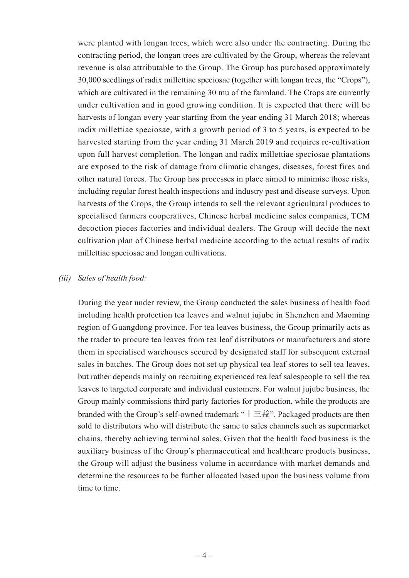were planted with longan trees, which were also under the contracting. During the contracting period, the longan trees are cultivated by the Group, whereas the relevant revenue is also attributable to the Group. The Group has purchased approximately 30,000 seedlings of radix millettiae speciosae (together with longan trees, the "Crops"), which are cultivated in the remaining 30 mu of the farmland. The Crops are currently under cultivation and in good growing condition. It is expected that there will be harvests of longan every year starting from the year ending 31 March 2018; whereas radix millettiae speciosae, with a growth period of 3 to 5 years, is expected to be harvested starting from the year ending 31 March 2019 and requires re-cultivation upon full harvest completion. The longan and radix millettiae speciosae plantations are exposed to the risk of damage from climatic changes, diseases, forest fires and other natural forces. The Group has processes in place aimed to minimise those risks, including regular forest health inspections and industry pest and disease surveys. Upon harvests of the Crops, the Group intends to sell the relevant agricultural produces to specialised farmers cooperatives, Chinese herbal medicine sales companies, TCM decoction pieces factories and individual dealers. The Group will decide the next cultivation plan of Chinese herbal medicine according to the actual results of radix millettiae speciosae and longan cultivations.

#### *(iii) Sales of health food:*

During the year under review, the Group conducted the sales business of health food including health protection tea leaves and walnut jujube in Shenzhen and Maoming region of Guangdong province. For tea leaves business, the Group primarily acts as the trader to procure tea leaves from tea leaf distributors or manufacturers and store them in specialised warehouses secured by designated staff for subsequent external sales in batches. The Group does not set up physical tea leaf stores to sell tea leaves, but rather depends mainly on recruiting experienced tea leaf salespeople to sell the tea leaves to targeted corporate and individual customers. For walnut jujube business, the Group mainly commissions third party factories for production, while the products are branded with the Group's self-owned trademark "十三益". Packaged products are then sold to distributors who will distribute the same to sales channels such as supermarket chains, thereby achieving terminal sales. Given that the health food business is the auxiliary business of the Group's pharmaceutical and healthcare products business, the Group will adjust the business volume in accordance with market demands and determine the resources to be further allocated based upon the business volume from time to time.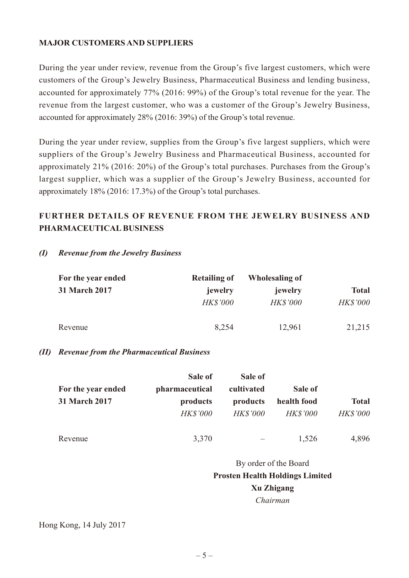#### **MAJOR CUSTOMERS AND SUPPLIERS**

During the year under review, revenue from the Group's five largest customers, which were customers of the Group's Jewelry Business, Pharmaceutical Business and lending business, accounted for approximately 77% (2016: 99%) of the Group's total revenue for the year. The revenue from the largest customer, who was a customer of the Group's Jewelry Business, accounted for approximately 28% (2016: 39%) of the Group's total revenue.

During the year under review, supplies from the Group's five largest suppliers, which were suppliers of the Group's Jewelry Business and Pharmaceutical Business, accounted for approximately 21% (2016: 20%) of the Group's total purchases. Purchases from the Group's largest supplier, which was a supplier of the Group's Jewelry Business, accounted for approximately 18% (2016: 17.3%) of the Group's total purchases.

## **FURTHER DETAILS OF REVENUE FROM THE JEWELRY BUSINESS AND PHARMACEUTICAL BUSINESS**

#### *(I) Revenue from the Jewelry Business*

| For the year ended   | <b>Retailing of</b> | Wholesaling of  |                 |
|----------------------|---------------------|-----------------|-----------------|
| <b>31 March 2017</b> | jewelry             | jewelry         | <b>Total</b>    |
|                      | <b>HK\$'000</b>     | <b>HK\$'000</b> | <b>HK\$'000</b> |
| Revenue              | 8,254               | 12,961          | 21,215          |

#### *(II) Revenue from the Pharmaceutical Business*

| For the year ended   | Sale of<br>pharmaceutical   | Sale of<br>cultivated       | Sale of                        |                                 |  |
|----------------------|-----------------------------|-----------------------------|--------------------------------|---------------------------------|--|
| <b>31 March 2017</b> | products<br><b>HK\$'000</b> | products<br><b>HK\$'000</b> | health food<br><b>HK\$'000</b> | <b>Total</b><br><b>HK\$'000</b> |  |
| Revenue              | 3,370                       |                             | 1,526                          | 4,896                           |  |
|                      | By order of the Board       |                             |                                |                                 |  |

# **Prosten Health Holdings Limited Xu Zhigang**

# *Chairman*

## Hong Kong, 14 July 2017